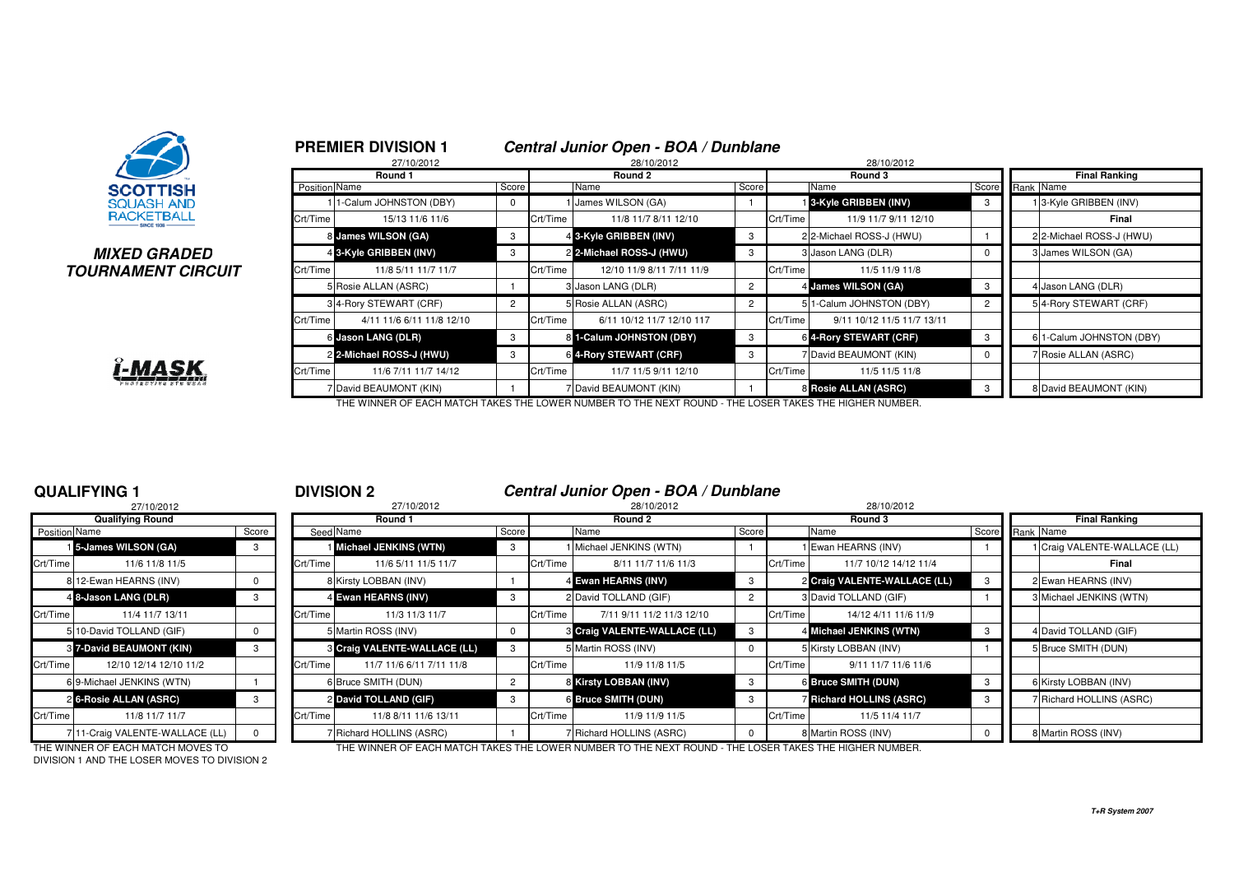

### **MIXED GRADEDTOURNAMENT CIRCUIT**



|              |               | 27/10/2012                |       |          | <u>UCHUGHUUHUU UDUH DUA DUHURUK</u><br>28/10/2012 |       |          |                            |                |                          |
|--------------|---------------|---------------------------|-------|----------|---------------------------------------------------|-------|----------|----------------------------|----------------|--------------------------|
|              |               | Round 1                   |       |          | Round 2                                           |       |          | Round 3                    |                | <b>Final Ranking</b>     |
|              | Position Name |                           | Score |          | Name                                              | Score |          | Name                       | Score          | Rank Name                |
|              |               | 11-Calum JOHNSTON (DBY)   | 0     |          | James WILSON (GA)                                 |       |          | 3-Kyle GRIBBEN (INV)       | 3              | 13-Kyle GRIBBEN (INV)    |
|              | Crt/Time      | 15/13 11/6 11/6           |       | Crt/Time | 11/8 11/7 8/11 12/10                              |       | Crt/Time | 11/9 11/7 9/11 12/10       |                | Final                    |
|              |               | 8 James WILSON (GA)       | 3     |          | 4 3-Kyle GRIBBEN (INV)                            | 3     |          | 2 2-Michael ROSS-J (HWU)   |                | 2 2-Michael ROSS-J (HWU) |
|              |               | 4 3-Kyle GRIBBEN (INV)    | 3     |          | 2 2-Michael ROSS-J (HWU)                          | 3     |          | 3 Jason LANG (DLR)         |                | 3 James WILSON (GA)      |
| <b>?CUIT</b> | Crt/Time      | 11/8 5/11 11/7 11/7       |       | Crt/Time | 12/10 11/9 8/11 7/11 11/9                         |       | Crt/Time | 11/5 11/9 11/8             |                |                          |
|              |               | 5 Rosie ALLAN (ASRC)      |       |          | 3 Jason LANG (DLR)                                | 2     |          | 4 James WILSON (GA)        |                | 4 Jason LANG (DLR)       |
|              |               | 34-Rory STEWART (CRF)     |       |          | 5 Rosie ALLAN (ASRC)                              |       |          | 51-Calum JOHNSTON (DBY)    | $\overline{2}$ | 54-Rory STEWART (CRF)    |
|              | Crt/Time      | 4/11 11/6 6/11 11/8 12/10 |       | Crt/Time | 6/11 10/12 11/7 12/10 117                         |       | Crt/Time | 9/11 10/12 11/5 11/7 13/11 |                |                          |
|              |               | 6 Jason LANG (DLR)        | 3     |          | 8 1-Calum JOHNSTON (DBY)                          | 3     |          | 6 4-Rory STEWART (CRF)     | 3              | 6 1-Calum JOHNSTON (DBY) |
|              |               | 2 2-Michael ROSS-J (HWU)  | 3     |          | 6 4-Rory STEWART (CRF)                            | 3     |          | 7 David BEAUMONT (KIN)     |                | 7 Rosie ALLAN (ASRC)     |
|              | Crt/Time      | 11/6 7/11 11/7 14/12      |       | Crt/Time | 11/7 11/5 9/11 12/10                              |       | Crt/Time | 11/5 11/5 11/8             |                |                          |
|              |               | 7 David BEAUMONT (KIN)    |       |          | 7 David BEAUMONT (KIN)                            |       |          | 8 Rosie ALLAN (ASRC)       |                | 8 David BEAUMONT (KIN)   |

THE WINNER OF EACH MATCH TAKES THE LOWER NUMBER TO THE NEXT ROUND - THE LOSER TAKES THE HIGHER NUMBER.

**PREMIER DIVISION 1 Central Junior Open - BOA / Dunblane**

## **QUALIFYING 1**

|               | 27/10/2012                      |          |          |
|---------------|---------------------------------|----------|----------|
|               | <b>Qualifying Round</b>         |          |          |
| Position Name |                                 | Score    | Seed     |
|               | <b>1</b> 5-James WILSON (GA)    | 3        |          |
| Crt/Time      | 11/6 11/8 11/5                  |          | Crt/Time |
|               | 8 12-Ewan HEARNS (INV)          | $\Omega$ | 8        |
|               | 4 8-Jason LANG (DLR)            | 3        | 4        |
| Crt/Time      | 11/4 11/7 13/11                 |          | Crt/Time |
|               | 5 10-David TOLLAND (GIF)        | $\Omega$ | 5        |
|               | 8 7-David BEAUMONT (KIN)        | 3        | 3        |
| Crt/Time      | 12/10 12/14 12/10 11/2          |          | Crt/Time |
|               | 69-Michael JENKINS (WTN)        |          | 6        |
|               | 26-Rosie ALLAN (ASRC)           | 3        | 2        |
| Crt/Time      | 11/8 11/7 11/7                  |          | Crt/Time |
|               | 7 11-Craig VALENTE-WALLACE (LL) | 0        | 7        |

### <sup>1</sup> **DIVISION 2 Central Junior Open - BOA / Dunblane**

| 27/10/2012    |                                 |       |          | 27/10/2012                   |                |          | 28/10/2012                   |       |          | 28/10/2012                      |       |                              |
|---------------|---------------------------------|-------|----------|------------------------------|----------------|----------|------------------------------|-------|----------|---------------------------------|-------|------------------------------|
|               | <b>Qualifying Round</b>         |       |          | Round 1                      |                |          | Round 2                      |       |          | Round 3                         |       | <b>Final Ranking</b>         |
| Position Name |                                 | Score |          | Seed Name                    | Score          |          | Name                         | Score |          | Name                            | Score | Rank Name                    |
|               | 15-James WILSON (GA)            |       |          | Michael JENKINS (WTN)        |                |          | I Michael JENKINS (WTN)      |       |          | I Ewan HEARNS (INV)             |       | 1 Craig VALENTE-WALLACE (LL) |
| Crt/Time I    | 11/6 11/8 11/5                  |       | Crt/Time | 11/6 5/11 11/5 11/7          |                | Crt/Time | 8/11 11/7 11/6 11/3          |       | Crt/Time | 11/7 10/12 14/12 11/4           |       | Final                        |
|               | 8 12-Ewan HEARNS (INV)          |       |          | 8 Kirsty LOBBAN (INV)        |                |          | 4 Ewan HEARNS (INV)          |       |          | 2 Craig VALENTE-WALLACE (LL)    |       | 2 Ewan HEARNS (INV)          |
|               | 4 8-Jason LANG (DLR)            |       |          | 4 Ewan HEARNS (INV)          |                |          | 2 David TOLLAND (GIF)        |       |          | 3 David TOLLAND (GIF)           |       | 3 Michael JENKINS (WTN)      |
| Crt/Time      | 11/4 11/7 13/11                 |       | Crt/Time | 11/3 11/3 11/7               |                | Crt/Time | 7/11 9/11 11/2 11/3 12/10    |       | Crt/Time | 14/12 4/11 11/6 11/9            |       |                              |
|               | 5 10-David TOLLAND (GIF)        |       |          | 5 Martin ROSS (INV)          | $\Omega$       |          | 8 Craig VALENTE-WALLACE (LL) |       |          | 4 Michael JENKINS (WTN)         |       | 4 David TOLLAND (GIF)        |
|               | <b>8 7-David BEAUMONT (KIN)</b> |       |          | 8 Craig VALENTE-WALLACE (LL) | 3              |          | 5 Martin ROSS (INV)          |       |          | 5 Kirsty LOBBAN (INV)           |       | 5 Bruce SMITH (DUN)          |
| Crt/Time      | 12/10 12/14 12/10 11/2          |       | Crt/Time | 11/7 11/6 6/11 7/11 11/8     |                | Crt/Time | 11/9 11/8 11/5               |       | Crt/Time | 9/11 11/7 11/6 11/6             |       |                              |
|               | 6 9-Michael JENKINS (WTN)       |       |          | 6 Bruce SMITH (DUN)          | $\overline{2}$ |          | 8 Kirsty LOBBAN (INV)        |       |          | <b>6 Bruce SMITH (DUN)</b>      | - 3   | 6 Kirsty LOBBAN (INV)        |
|               | 2 6-Rosie ALLAN (ASRC)          |       |          | 2 David TOLLAND (GIF)        | -3             |          | 6 Bruce SMITH (DUN)          |       |          | <b>7 Richard HOLLINS (ASRC)</b> | - 3   | 7 Richard HOLLINS (ASRC)     |
| Crt/Time      | 11/8 11/7 11/7                  |       | Crt/Time | 11/8 8/11 11/6 13/11         |                | Crt/Time | 11/9 11/9 11/5               |       | Crt/Time | 11/5 11/4 11/7                  |       |                              |
|               | 711-Craig VALENTE-WALLACE (LL)  |       |          | 7 Richard HOLLINS (ASRC)     |                |          | 7 Richard HOLLINS (ASRC)     |       |          | 8 Martin ROSS (INV)             |       | 8 Martin ROSS (INV)          |

DIVISION 1 AND THE LOSER MOVES TO DIVISION 2

THE WINNER OF EACH MATCH MOVES TO THE WINNER OF EACH MATCH TAKES THE LOWER NUMBER TO THE NEXT ROUND - THE LOSER TAKES THE HIGHER NUMBER.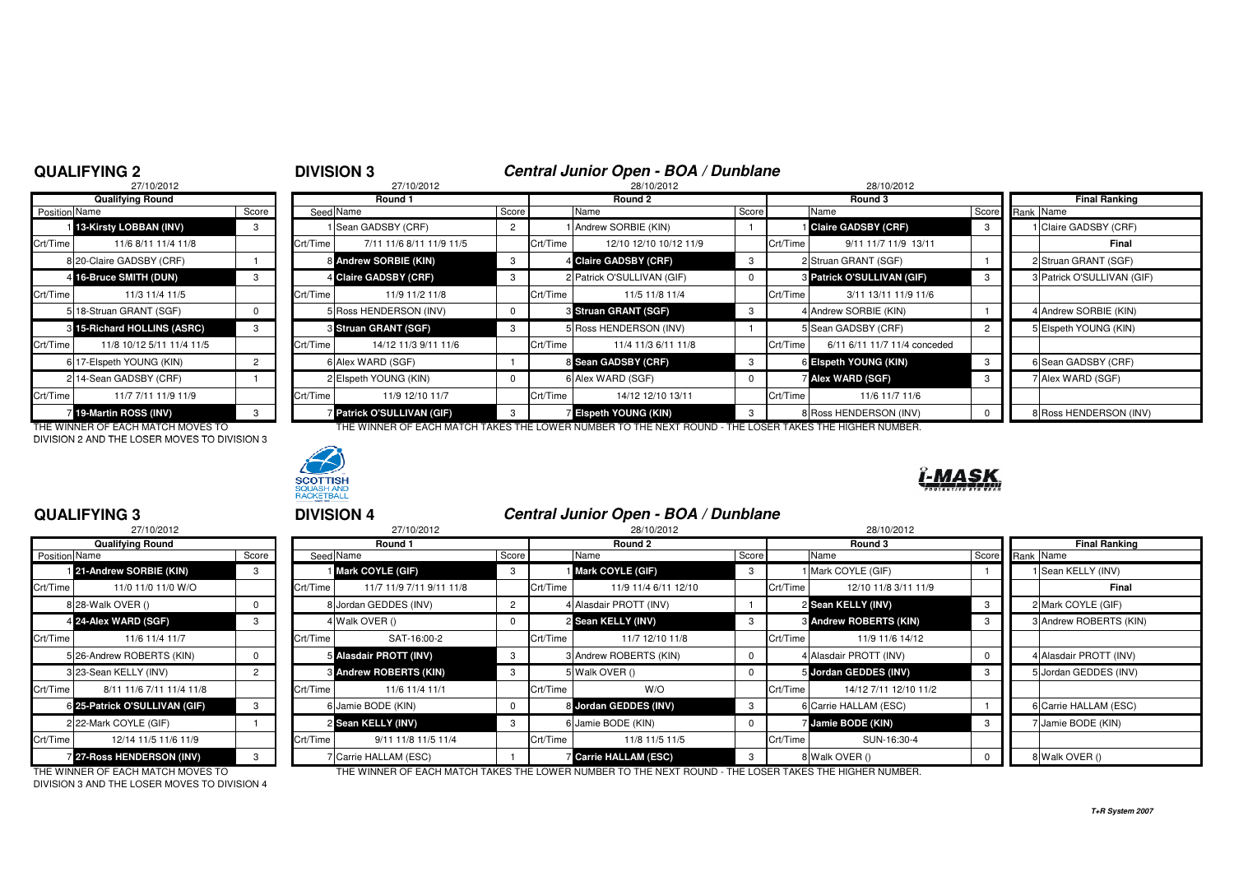## <sup>2</sup> **DIVISION 3 Central Junior Open - BOA / Dunblane**

|                      | 27/10/2012                  |                |          | 27/10/2012               |       |          | 28/10/2012                 |          | 28/10/2012 |                                |  |  |
|----------------------|-----------------------------|----------------|----------|--------------------------|-------|----------|----------------------------|----------|------------|--------------------------------|--|--|
|                      | <b>Qualifying Round</b>     |                |          | Round 1                  |       |          | Round 2                    |          |            | Round 3                        |  |  |
| <b>Position Name</b> |                             | Score          |          | Seed Name                | Score |          | Name                       | Score    |            | Name                           |  |  |
|                      | 13-Kirsty LOBBAN (INV)      | 3              |          | Sean GADSBY (CRF)        |       |          | 1 Andrew SORBIE (KIN)      |          |            | <b>Claire GADSBY (CRF)</b>     |  |  |
| Crt/Time             | 11/6 8/11 11/4 11/8         |                | Crt/Time | 7/11 11/6 8/11 11/9 11/5 |       | Crt/Time | 12/10 12/10 10/12 11/9     |          | Crt/Time   | 9/11 11/7 11/9                 |  |  |
|                      | 8 20-Claire GADSBY (CRF)    |                |          | 8 Andrew SORBIE (KIN)    | 3     |          | 4 Claire GADSBY (CRF)      | 3        |            | 2 Struan GRANT (SGF)           |  |  |
|                      | 4 16-Bruce SMITH (DUN)      | 3              |          | 4 Claire GADSBY (CRF)    |       |          | 2 Patrick O'SULLIVAN (GIF) | $\Omega$ |            | <b>3 Patrick O'SULLIVAN (G</b> |  |  |
| Crt/Time             | 11/3 11/4 11/5              |                | Crt/Time | 11/9 11/2 11/8           |       | Crt/Time | 11/5 11/8 11/4             |          | Crt/Time   | 3/11 13/11 11/9                |  |  |
|                      | 5 18-Struan GRANT (SGF)     | 0              |          | 5 Ross HENDERSON (INV)   | 0     |          | 3 Struan GRANT (SGF)       | 3        |            | 4 Andrew SORBIE (KIN)          |  |  |
|                      | 8 15-Richard HOLLINS (ASRC) | 3              |          | 3 Struan GRANT (SGF)     | 3     |          | 5 Ross HENDERSON (INV)     |          |            | 5 Sean GADSBY (CRF)            |  |  |
| Crt/Time             | 11/8 10/12 5/11 11/4 11/5   |                | Crt/Time | 14/12 11/3 9/11 11/6     |       | Crt/Time | 11/4 11/3 6/11 11/8        |          | Crt/Time   | 6/11 6/11 11/7 11/4            |  |  |
|                      | 6 17-Elspeth YOUNG (KIN)    | $\overline{2}$ |          | 6 Alex WARD (SGF)        |       |          | 8 Sean GADSBY (CRF)        | 3        |            | 6 Elspeth YOUNG (KIN)          |  |  |
|                      | 214-Sean GADSBY (CRF)       |                |          | 2 Elspeth YOUNG (KIN)    |       |          | 6 Alex WARD (SGF)          | 0        |            | <b>Alex WARD (SGF)</b>         |  |  |
| Crt/Time             | 11/7 7/11 11/9 11/9         |                | Crt/Time | 11/9 12/10 11/7          |       | Crt/Time | 14/12 12/10 13/11          |          | Crt/Time   | 11/6 11/7 11                   |  |  |
|                      | 19-Martin ROSS (INV)        | 3              |          | Patrick O'SULLIVAN (GIF) | 3     |          | 7 Elspeth YOUNG (KIN)      | 3        |            | 8 Ross HENDERSON (IN)          |  |  |
|                      |                             |                |          |                          |       |          |                            |          |            |                                |  |  |

DIVISION 2 AND THE LOSER MOVES TO DIVISION 3



|               | Qualifying Round            |       |          | Round 1                           |                |          | Round 2                     |       | Round 3                                  |       | Final Ranking              |
|---------------|-----------------------------|-------|----------|-----------------------------------|----------------|----------|-----------------------------|-------|------------------------------------------|-------|----------------------------|
| Position Name |                             | Score |          | Seed Name                         | Score          |          | Name                        | Score | Name                                     | Score | Rank Name                  |
|               | 1 13-Kirsty LOBBAN (INV)    |       |          | I Sean GADSBY (CRF)               | $\overline{2}$ |          | 1 Andrew SORBIE (KIN)       |       | <b>Claire GADSBY (CRF)</b>               |       | I Claire GADSBY (CRF)      |
| Crt/Time      | 11/6 8/11 11/4 11/8         |       | Crt/Time | 7/11 11/6 8/11 11/9 11/5          |                | Crt/Time | 12/10 12/10 10/12 11/9      |       | Crt/Time<br>9/11 11/7 11/9 13/11         |       | Final                      |
|               | 8 20-Claire GADSBY (CRF)    |       |          | 8 Andrew SORBIE (KIN)             | 3              |          | 4 Claire GADSBY (CRF)       |       | 2 Struan GRANT (SGF)                     |       | 2 Struan GRANT (SGF)       |
|               | 4 16-Bruce SMITH (DUN)      |       |          | 4 Claire GADSBY (CRF)             | 3              |          | 2 Patrick O'SULLIVAN (GIF)  |       | 3 Patrick O'SULLIVAN (GIF)               |       | 3 Patrick O'SULLIVAN (GIF) |
| Crt/Time      | 11/3 11/4 11/5              |       | Crt/Time | 11/9 11/2 11/8                    |                | Crt/Time | 11/5 11/8 11/4              |       | Crt/Time<br>3/11 13/11 11/9 11/6         |       |                            |
|               | 5 18-Struan GRANT (SGF)     |       |          | 5 Ross HENDERSON (INV)            |                |          | <b>8 Struan GRANT (SGF)</b> |       | 4 Andrew SORBIE (KIN)                    |       | 4 Andrew SORBIE (KIN)      |
|               | 3 15-Richard HOLLINS (ASRC) |       |          | 3 Struan GRANT (SGF)              | 3              |          | 5 Ross HENDERSON (INV)      |       | 5 Sean GADSBY (CRF)                      |       | Elspeth YOUNG (KIN)        |
| Crt/Time I    | 11/8 10/12 5/11 11/4 11/5   |       | Crt/Time | 14/12 11/3 9/11 11/6              |                | Crt/Time | 11/4 11/3 6/11 11/8         |       | 6/11 6/11 11/7 11/4 conceded<br>Crt/Time |       |                            |
|               | 6 17-Elspeth YOUNG (KIN)    |       |          | 6 Alex WARD (SGF)                 |                |          | 8 Sean GADSBY (CRF)         |       | 6 Elspeth YOUNG (KIN)                    |       | 6 Sean GADSBY (CRF)        |
|               | 2 14-Sean GADSBY (CRF)      |       |          | 2 Elspeth YOUNG (KIN)             |                |          | 6 Alex WARD (SGF)           |       | <b>ZAIex WARD (SGF)</b>                  |       | 7 Alex WARD (SGF)          |
| Crt/Time      | 11/7 7/11 11/9 11/9         |       | Crt/Time | 11/9 12/10 11/7                   |                | Crt/Time | 14/12 12/10 13/11           |       | Crt/Time<br>11/6 11/7 11/6               |       |                            |
|               | 7 19-Martin ROSS (INV)      |       |          | <b>7 Patrick O'SULLIVAN (GIF)</b> | 3              |          | 7 Elspeth YOUNG (KIN)       |       | 8 Ross HENDERSON (INV)                   |       | 8 Ross HENDERSON (INV)     |

THE WINNER OF EACH MATCH MOVES TO THE WINNER OF EACH MATCH TAKES THE LOWER NUMBER TO THE NEXT ROUND - THE LOSER TAKES THE HIGHER NUMBER.

<sup>3</sup> **DIVISION 4 Central Junior Open - BOA / Dunblane**



## **QUALIFYING 3**

| 27/10/2012           |                               |          |           | 27/10/2012               |          | 28/10/2012 |                            |       |          | 28/10/2012                    |     |  |                        |
|----------------------|-------------------------------|----------|-----------|--------------------------|----------|------------|----------------------------|-------|----------|-------------------------------|-----|--|------------------------|
|                      | <b>Qualifying Round</b>       |          |           | Round 1                  |          |            | Round 2                    |       |          | Round 3                       |     |  | <b>Final Ranking</b>   |
| <b>Position Name</b> |                               | Score    | Seed Name |                          | Score    |            | Name                       | Score |          | Name                          |     |  | Score Rank Name        |
|                      | 21-Andrew SORBIE (KIN)        | 3        |           | Mark COYLE (GIF)         | 3        |            | <b>Mark COYLE (GIF)</b>    |       |          | Mark COYLE (GIF)              |     |  | 1 Sean KELLY (INV)     |
| Crt/Time             | 11/0 11/0 11/0 W/O            |          | Crt/Time  | 11/7 11/9 7/11 9/11 11/8 |          | Crt/Time   | 11/9 11/4 6/11 12/10       |       | Crt/Time | 12/10 11/8 3/11 11/9          |     |  | Final                  |
|                      | 8 28-Walk OVER ()             | $\Omega$ |           | 8 Jordan GEDDES (INV)    |          |            | 4 Alasdair PROTT (INV)     |       |          | 2 Sean KELLY (INV)            | - 3 |  | 2 Mark COYLE (GIF)     |
|                      | 4 24-Alex WARD (SGF)          | 3        |           | 4 Walk OVER ()           |          |            | 2 Sean KELLY (INV)         |       |          | <b>8 Andrew ROBERTS (KIN)</b> | -3  |  | 3 Andrew ROBERTS (KI   |
| Crt/Time             | 11/6 11/4 11/7                |          | Crt/Time  | SAT-16:00-2              |          | Crt/Time   | 11/7 12/10 11/8            |       | Crt/Time | 11/9 11/6 14/12               |     |  |                        |
|                      | 5 26-Andrew ROBERTS (KIN)     | $\Omega$ |           | 5 Alasdair PROTT (INV)   |          |            | 3 Andrew ROBERTS (KIN)     |       |          | 4 Alasdair PROTT (INV)        |     |  | 4 Alasdair PROTT (INV) |
|                      | 3 23-Sean KELLY (INV)         |          |           | 8 Andrew ROBERTS (KIN)   |          |            | 5 Walk OVER ()             |       |          | 5 Jordan GEDDES (INV)         |     |  | 5 Jordan GEDDES (INV)  |
| Crt/Time             | 8/11 11/6 7/11 11/4 11/8      |          | Crt/Time  | 11/6 11/4 11/1           |          | Crt/Time   | W/O                        |       | Crt/Time | 14/12 7/11 12/10 11/2         |     |  |                        |
|                      | 6 25-Patrick O'SULLIVAN (GIF) | 3        |           | 6 Jamie BODE (KIN)       | $\Omega$ |            | 8 Jordan GEDDES (INV)      | -3    |          | 6 Carrie HALLAM (ESC)         |     |  | 6 Carrie HALLAM (ESC)  |
|                      | 2 22-Mark COYLE (GIF)         |          |           | 2 Sean KELLY (INV)       | -3       |            | 6 Jamie BODE (KIN)         |       |          | Jamie BODE (KIN)              |     |  | 7 Jamie BODE (KIN)     |
| Crt/Time             | 12/14 11/5 11/6 11/9          |          | Crt/Time  | 9/11 11/8 11/5 11/4      |          | Crt/Time   | 11/8 11/5 11/5             |       | Crt/Time | SUN-16:30-4                   |     |  |                        |
|                      | 7 27-Ross HENDERSON (INV)     |          |           | 7 Carrie HALLAM (ESC)    |          |            | <b>Carrie HALLAM (ESC)</b> |       |          | 8 Walk OVER ()                |     |  | 8 Walk OVER ()         |

DIVISION 3 AND THE LOSER MOVES TO DIVISION 4

### **Sean KELLY (INV)** <sup>3</sup> <sup>6</sup> Jamie BODE (KIN) <sup>0</sup> <sup>7</sup> **Jamie BODE (KIN)** <sup>3</sup> <sup>7</sup> Jamie BODE (KIN) Crt/Time 12/14 11/5 11/6 11/9 Crt/Time 9/11 11/8 11/5 11/4 Crt/Time 11/8 11/5 11/5 Crt/Time SUN-16:30-4**27-Ross HENDERSON (INV)** 3 7 Carrie HALLAM (ESC) 1 7 Carrie HALLAM (ESC) 3 8 Walk OVER () 8 Walk OVER ()

THE WINNER OF EACH MATCH MOVES TO THE WINNER OF EACH MATCH TAKES THE LOWER NUMBER TO THE NEXT ROUND - THE LOSER TAKES THE HIGHER NUMBER.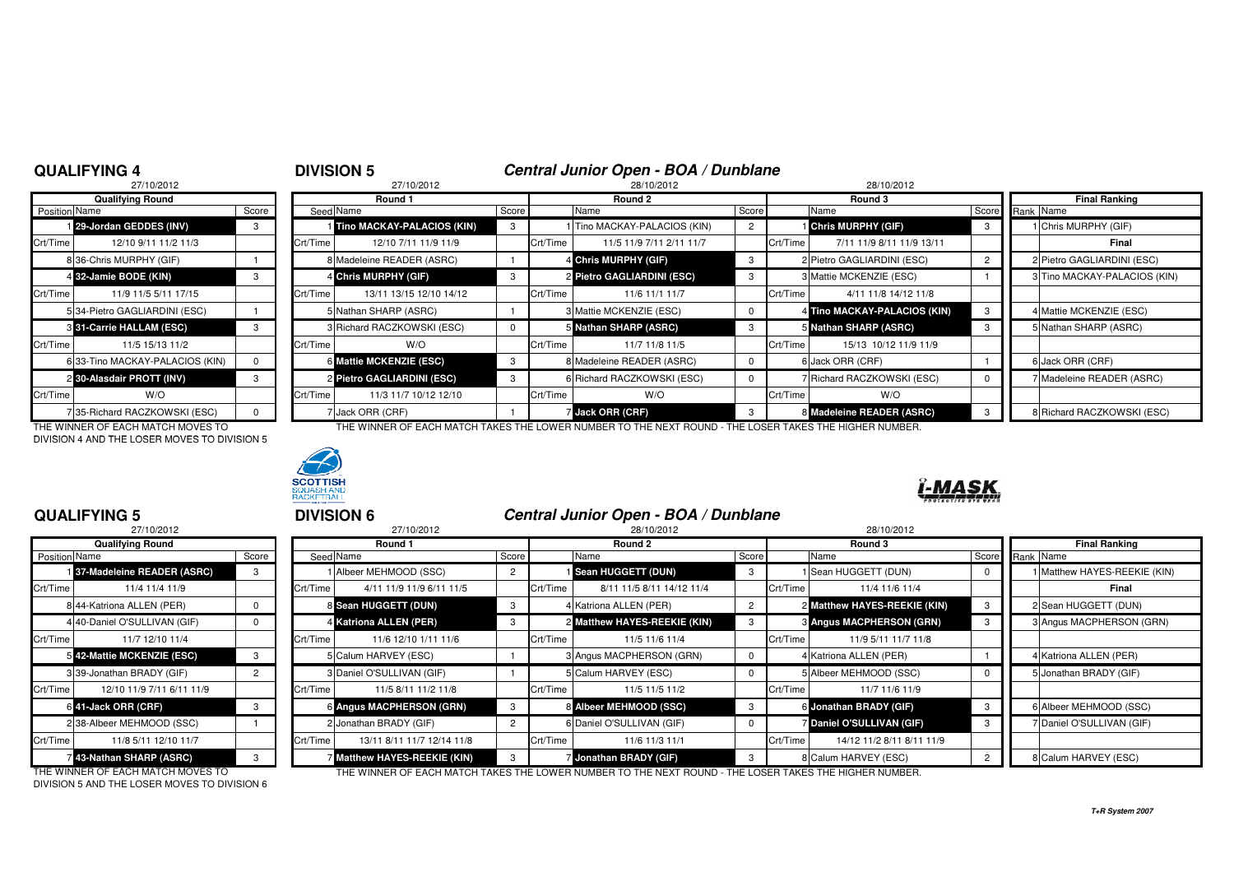# <sup>4</sup> **DIVISION 5 Central Junior Open - BOA / Dunblane** <sup>8</sup> 27/10/2012 28/10/2012 28/10/2012

|               | 27/10/2012                      |          |          |
|---------------|---------------------------------|----------|----------|
|               | <b>Qualifying Round</b>         |          |          |
| Position Name |                                 | Score    | Seed     |
|               | 29-Jordan GEDDES (INV)          | 3        |          |
| Crt/Time      | 12/10 9/11 11/2 11/3            |          | Crt/Time |
|               | 8 36-Chris MURPHY (GIF)         |          | 8        |
|               | 4 32-Jamie BODE (KIN)           | 3        | 4        |
| Crt/Time      | 11/9 11/5 5/11 17/15            |          | Crt/Time |
|               | 5 34-Pietro GAGLIARDINI (ESC)   |          | 5        |
|               | <b>8 31-Carrie HALLAM (ESC)</b> | 3        | 3        |
| Crt/Time      | 11/5 15/13 11/2                 |          | Crt/Time |
|               | 6 33-Tino MACKAY-PALACIOS (KIN) | $\Omega$ | 6        |
|               | 2 30-Alasdair PROTT (INV)       | 3        | 2        |
| Crt/Time      | W/O                             |          | Crt/Time |
|               | 735-Richard RACZKOWSKI (ESC)    | U        | 7        |

DIVISION 4 AND THE LOSER MOVES TO DIVISION 5



|               | <b>Qualifying Round</b>         |       |          | Round 1                    |       |          | Round 2                      |       |          | Round 3                      |     | <b>Final Ranking</b>         |
|---------------|---------------------------------|-------|----------|----------------------------|-------|----------|------------------------------|-------|----------|------------------------------|-----|------------------------------|
| Position Name |                                 | Score |          | Seed Name                  | Score |          | Name                         | Score |          | Name                         |     | Score Rank Name              |
|               | 129-Jordan GEDDES (INV)         |       |          | Tino MACKAY-PALACIOS (KIN) |       |          | 1 Tino MACKAY-PALACIOS (KIN) |       |          | <b>Chris MURPHY (GIF)</b>    | - 3 | 1 Chris MURPHY (GIF)         |
| Crt/Time      | 12/10 9/11 11/2 11/3            |       | Crt/Time | 12/10 7/11 11/9 11/9       |       | Crt/Time | 11/5 11/9 7/11 2/11 11/7     |       | Crt/Time | 7/11 11/9 8/11 11/9 13/11    |     | Final                        |
|               | 8 36-Chris MURPHY (GIF)         |       |          | 8 Madeleine READER (ASRC)  |       |          | 4 Chris MURPHY (GIF)         | 3     |          | 2 Pietro GAGLIARDINI (ESC)   |     | 2 Pietro GAGLIARDINI (ESC)   |
|               | 4 32-Jamie BODE (KIN)           |       |          | 4 Chris MURPHY (GIF)       |       |          | 2 Pietro GAGLIARDINI (ESC)   |       |          | 3 Mattie MCKENZIE (ESC)      |     | 3 Tino MACKAY-PALACIOS (KIN) |
| Crt/Time      | 11/9 11/5 5/11 17/15            |       | Crt/Time | 13/11 13/15 12/10 14/12    |       | Crt/Time | 11/6 11/1 11/7               |       | Crt/Time | 4/11 11/8 14/12 11/8         |     |                              |
|               | 534-Pietro GAGLIARDINI (ESC)    |       |          | 5 Nathan SHARP (ASRC)      |       |          | 3 Mattie MCKENZIE (ESC)      |       |          | 4 Tino MACKAY-PALACIOS (KIN) |     | 4 Mattie MCKENZIE (ESC)      |
|               | 3 31-Carrie HALLAM (ESC)        |       |          | 3 Richard RACZKOWSKI (ESC) |       |          | 5 Nathan SHARP (ASRC)        |       |          | 5 Nathan SHARP (ASRC)        |     | 5 Nathan SHARP (ASRC)        |
| Crt/Time      | 11/5 15/13 11/2                 |       | Crt/Time | W/O                        |       | Crt/Time | 11/7 11/8 11/5               |       | Crt/Time | 15/13 10/12 11/9 11/9        |     |                              |
|               | 6 33-Tino MACKAY-PALACIOS (KIN) |       |          | 6 Mattie MCKENZIE (ESC)    | -3    |          | 8 Madeleine READER (ASRC)    | 0     |          | 6 Jack ORR (CRF)             |     | 6 Jack ORR (CRF)             |
|               | 2 30-Alasdair PROTT (INV)       |       |          | 2 Pietro GAGLIARDINI (ESC) | 3     |          | 6 Richard RACZKOWSKI (ESC)   |       |          | 7 Richard RACZKOWSKI (ESC)   |     | 7 Madeleine READER (ASRC)    |
| Crt/Time      | W/O                             |       | Crt/Time | 11/3 11/7 10/12 12/10      |       | Crt/Time | W/O                          |       | Crt/Time | W/O                          |     |                              |
|               | 735-Richard RACZKOWSKI (ESC)    |       |          | 7 Jack ORR (CRF)           |       |          | Jack ORR (CRF)               | -3    |          | 8 Madeleine READER (ASRC)    | - 3 | 8 Richard RACZKOWSKI (ESC)   |

THE WINNER OF EACH MATCH MOVES TO THE WINNER OF EACH MATCH TAKES THE LOWER NUMBER TO THE NEXT ROUND - THE LOSER TAKES THE HIGHER NUMBER.



## I-MAS

|                      | <b>QUALIFYING 5</b>          |                |          | <b>DIVISION 6</b>          |                | Central Junior Open - BOA / Dunblane  |          |          |                                 |   |                              |
|----------------------|------------------------------|----------------|----------|----------------------------|----------------|---------------------------------------|----------|----------|---------------------------------|---|------------------------------|
|                      | 27/10/2012                   |                |          | 27/10/2012                 |                | 28/10/2012                            |          |          | 28/10/2012                      |   |                              |
|                      | <b>Qualifying Round</b>      |                |          | Round 1                    |                | Round 2                               |          |          | Round 3                         |   | <b>Final Ranking</b>         |
| <b>Position Name</b> |                              | Score          |          | Seed Name                  | Score          | Name                                  | Score    |          | Name                            |   | Score Rank Name              |
|                      | 37-Madeleine READER (ASRC)   | 3              |          | I Albeer MEHMOOD (SSC)     | $\overline{2}$ | Sean HUGGETT (DUN)                    | 3        |          | 1 Sean HUGGETT (DUN)            |   | I Matthew HAYES-REEKIE (KIN) |
| Crt/Time             | 11/4 11/4 11/9               |                | Crt/Time | 4/11 11/9 11/9 6/11 11/5   |                | Crt/Time<br>8/11 11/5 8/11 14/12 11/4 |          | Crt/Time | 11/4 11/6 11/4                  |   | Final                        |
|                      | 844-Katriona ALLEN (PER)     |                |          | 8 Sean HUGGETT (DUN)       | -3             | I Katriona ALLEN (PER)                |          |          | 2 Matthew HAYES-REEKIE (KIN)    | 3 | 2 Sean HUGGETT (DUN)         |
|                      | 4 40-Daniel O'SULLIVAN (GIF) |                |          | 4 Katriona ALLEN (PER)     | -3             | 2 Matthew HAYES-REEKIE (KIN)          |          |          | <b>8 Angus MACPHERSON (GRN)</b> | 3 | 3 Angus MACPHERSON (GRN)     |
| Crt/Time             | 11/7 12/10 11/4              |                | Crt/Time | 11/6 12/10 1/11 11/6       |                | Crt/Time<br>11/5 11/6 11/4            |          | Crt/Time | 11/9 5/11 11/7 11/8             |   |                              |
|                      | 5 42-Mattie MCKENZIE (ESC)   |                |          | 5 Calum HARVEY (ESC)       |                | 3 Angus MACPHERSON (GRN)              |          |          | 4 Katriona ALLEN (PER)          |   | 4 Katriona ALLEN (PER)       |
|                      | 339-Jonathan BRADY (GIF)     | $\overline{2}$ |          | 3 Daniel O'SULLIVAN (GIF)  |                | 5 Calum HARVEY (ESC)                  |          |          | 5 Albeer MEHMOOD (SSC)          |   | 5 Jonathan BRADY (GIF)       |
| Crt/Time             | 12/10 11/9 7/11 6/11 11/9    |                | Crt/Time | 11/5 8/11 11/2 11/8        |                | Crt/Time<br>11/5 11/5 11/2            |          | Crt/Time | 11/7 11/6 11/9                  |   |                              |
|                      | 6 41-Jack ORR (CRF)          |                |          | 6 Angus MACPHERSON (GRN)   | -3             | 8 Albeer MEHMOOD (SSC)                | -3       |          | 6 Jonathan BRADY (GIF)          | 3 | 6 Albeer MEHMOOD (SSC)       |
|                      | 238-Albeer MEHMOOD (SSC)     |                |          | 2 Jonathan BRADY (GIF)     | $\overline{2}$ | Daniel O'SULLIVAN (GIF)               | $\Omega$ |          | 7 Daniel O'SULLIVAN (GIF)       | 3 | 7 Daniel O'SULLIVAN (GIF)    |
| Crt/Time             | 11/8 5/11 12/10 11/7         |                | Crt/Time | 13/11 8/11 11/7 12/14 11/8 |                | Crt/Time<br>11/6 11/3 11/1            |          | Crt/Time | 14/12 11/2 8/11 8/11 11/9       |   |                              |
|                      | 43-Nathan SHARP (ASRC)       |                |          | Matthew HAYES-REEKIE (KIN) |                | Jonathan BRADY (GIF)                  |          |          | 8 Calum HARVEY (ESC)            |   | 8 Calum HARVEY (ESC)         |

DIVISION 5 AND THE LOSER MOVES TO DIVISION 6

THE WINNER OF EACH MATCH MOVES TO THE WINNER OF EACH MATCH TAKES THE LOWER NUMBER TO THE NEXT ROUND - THE LOSER TAKES THE HIGHER NUMBER.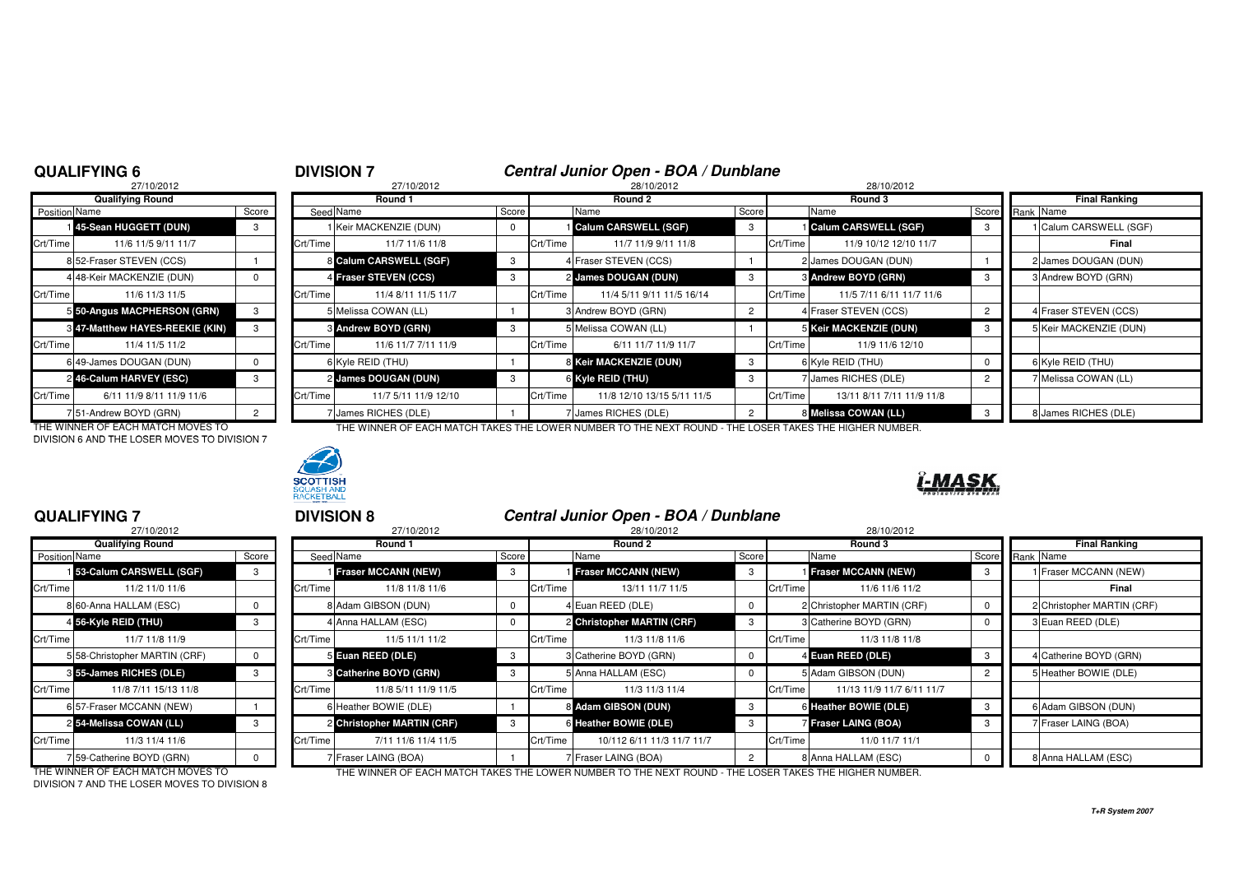## **6 DIVISION 7 Central Junior Open - BOA / Dunblane**<br>28/10/2012 **28/10/2012 28/10/2012** 28/10/2012

|                      | 27/10/2012                             |                |          |
|----------------------|----------------------------------------|----------------|----------|
|                      | <b>Qualifying Round</b>                |                |          |
| <b>Position Name</b> |                                        | Score          | Seed     |
|                      | 145-Sean HUGGETT (DUN)                 | 3              |          |
| Crt/Time             | 11/6 11/5 9/11 11/7                    |                | Crt/Time |
|                      | 8 52-Fraser STEVEN (CCS)               |                | 8        |
|                      | 4 48-Keir MACKENZIE (DUN)              | 0              | 4        |
| Crt/Time             | 11/6 11/3 11/5                         |                | Crt/Time |
|                      | 5 50-Angus MACPHERSON (GRN)            | 3              | 5        |
|                      | <b>8 47-Matthew HAYES-REEKIE (KIN)</b> | 3              | 3        |
| Crt/Time             | 11/4 11/5 11/2                         |                | Crt/Time |
|                      | 6 49-James DOUGAN (DUN)                | 0              | 6        |
|                      | 246-Calum HARVEY (ESC)                 | 3              | 2        |
| Crt/Time             | 6/11 11/9 8/11 11/9 11/6               |                | Crt/Time |
|                      | 51-Andrew BOYD (GRN)                   | $\overline{2}$ |          |

DIVISION 6 AND THE LOSER MOVES TO DIVISION 7



|               | Qualifying Round                |       |          | Round 1                    |       | Round 2  |                             |       | Round 3  |                             |                 | Final Ranking |                        |
|---------------|---------------------------------|-------|----------|----------------------------|-------|----------|-----------------------------|-------|----------|-----------------------------|-----------------|---------------|------------------------|
| Position Name |                                 | Score |          | Seed Name                  | Score |          | Name                        | Score |          | Name                        | Score Rank Name |               |                        |
|               | 145-Sean HUGGETT (DUN)          |       |          | I Keir MACKENZIE (DUN)     |       |          | <b>Calum CARSWELL (SGF)</b> |       |          | <b>Calum CARSWELL (SGF)</b> | 3               |               | Calum CARSWELL (SGF)   |
| Crt/Time      | 11/6 11/5 9/11 11/7             |       | Crt/Time | 11/7 11/6 11/8             |       | Crt/Time | 11/7 11/9 9/11 11/8         |       | Crt/Time | 11/9 10/12 12/10 11/7       |                 |               | Final                  |
|               | 852-Fraser STEVEN (CCS)         |       |          | 8 Calum CARSWELL (SGF)     |       |          | 4 Fraser STEVEN (CCS)       |       |          | 2 James DOUGAN (DUN)        |                 |               | 2 James DOUGAN (DUN)   |
|               | 4 48-Keir MACKENZIE (DUN)       |       |          | 4 Fraser STEVEN (CCS)      |       |          | 2 James DOUGAN (DUN)        |       |          | 3 Andrew BOYD (GRN)         |                 |               | 3 Andrew BOYD (GRN)    |
| Crt/Time      | 11/6 11/3 11/5                  |       | Crt/Time | 11/4 8/11 11/5 11/7        |       | Crt/Time | 11/4 5/11 9/11 11/5 16/14   |       | Crt/Time | 11/5 7/11 6/11 11/7 11/6    |                 |               |                        |
|               | 5 50-Angus MACPHERSON (GRN)     |       |          | 5 Melissa COWAN (LL)       |       |          | 3 Andrew BOYD (GRN)         |       |          | 4 Fraser STEVEN (CCS)       |                 |               | 4 Fraser STEVEN (CCS)  |
|               | 8 47-Matthew HAYES-REEKIE (KIN) |       |          | <b>8 Andrew BOYD (GRN)</b> |       |          | 5 Melissa COWAN (LL)        |       |          | 5 Keir MACKENZIE (DUN)      |                 |               | 5 Keir MACKENZIE (DUN) |
| Crt/Time      | 11/4 11/5 11/2                  |       | Crt/Time | 11/6 11/7 7/11 11/9        |       | Crt/Time | 6/11 11/7 11/9 11/7         |       | Crt/Time | 11/9 11/6 12/10             |                 |               |                        |
|               | 6 49-James DOUGAN (DUN)         |       |          | 6 Kyle REID (THU)          |       |          | 8 Keir MACKENZIE (DUN)      |       |          | 6 Kyle REID (THU)           |                 |               | 6 Kyle REID (THU)      |
|               | 2 46-Calum HARVEY (ESC)         |       |          | 2 James DOUGAN (DUN)       |       |          | 6 Kyle REID (THU)           |       |          | 7 James RICHES (DLE)        |                 |               | Melissa COWAN (LL)     |
| Crt/Time      | 6/11 11/9 8/11 11/9 11/6        |       | Crt/Time | 11/7 5/11 11/9 12/10       |       | Crt/Time | 11/8 12/10 13/15 5/11 11/5  |       | Crt/Time | 13/11 8/11 7/11 11/9 11/8   |                 |               |                        |
|               | 751-Andrew BOYD (GRN)           |       |          | <b>James RICHES (DLE)</b>  |       |          | James RICHES (DLE)          |       |          | 8 Melissa COWAN (LL)        |                 |               | 8 James RICHES (DLE)   |

THE WINNER OF EACH MATCH MOVES TO THE WINNER OF EACH MATCH TAKES THE LOWER NUMBER TO THE NEXT ROUND - THE LOSER TAKES THE HIGHER NUMBER.



## **QUALIFYING 7**

|                      | 27/10/2012                    |              |          |
|----------------------|-------------------------------|--------------|----------|
|                      | <b>Qualifying Round</b>       |              |          |
| <b>Position Name</b> |                               | Score        | Seed     |
|                      | 153-Calum CARSWELL (SGF)      | 3            |          |
| Crt/Time             | 11/2 11/0 11/6                |              | Crt/Time |
|                      | 8 60-Anna HALLAM (ESC)        | 0            | 8        |
|                      | 4 56-Kyle REID (THU)          | 3            | 4        |
| Crt/Time             | 11/7 11/8 11/9                |              | Crt/Time |
|                      | 5 58-Christopher MARTIN (CRF) | <sup>0</sup> | 5        |
|                      | 8 55-James RICHES (DLE)       | 3            | 3        |
| Crt/Time             | 11/8 7/11 15/13 11/8          |              | Crt/Time |
|                      | 6 57-Fraser MCCANN (NEW)      |              | 6        |
|                      | 254-Melissa COWAN (LL)        | 3            | 2        |
| Crt/Time             | 11/3 11/4 11/6                |              | Crt/Time |
|                      | 7 59-Catherine BOYD (GRN)     | U            | 7        |

| QUALIFYING 7  |                                   |              | <b>DIVISION 8</b> |                            |          |               | Central Junior Open - BOA / Dunblane                                                                 |  |            |                            |  |                      |                               |  |
|---------------|-----------------------------------|--------------|-------------------|----------------------------|----------|---------------|------------------------------------------------------------------------------------------------------|--|------------|----------------------------|--|----------------------|-------------------------------|--|
| 27/10/2012    |                                   |              | 27/10/2012        |                            |          |               | 28/10/2012                                                                                           |  | 28/10/2012 |                            |  |                      |                               |  |
|               | <b>Qualifying Round</b>           |              |                   | Round 1                    |          | Round 2       |                                                                                                      |  |            | Round 3                    |  | <b>Final Ranking</b> |                               |  |
| Position Name |                                   | Score        |                   | Seed Name                  | Score    | Score<br>Name |                                                                                                      |  | Name       |                            |  | Score Rank Name      |                               |  |
|               | 153-Calum CARSWELL (SGF)          | 3            |                   | <b>Fraser MCCANN (NEW)</b> | 3        |               | Fraser MCCANN (NEW)                                                                                  |  |            | <b>Fraser MCCANN (NEW)</b> |  |                      | Fraser MCCANN (NEW)           |  |
| Crt/Time      | 11/2 11/0 11/6                    |              | Crt/Time          | 11/8 11/8 11/6             |          | Crt/Time      | 13/11 11/7 11/5                                                                                      |  | Crt/Time   | 11/6 11/6 11/2             |  |                      | Final                         |  |
|               | 8 60-Anna HALLAM (ESC)            |              |                   | 8 Adam GIBSON (DUN)        | $\Omega$ |               | 4 Euan REED (DLE)                                                                                    |  |            | 2 Christopher MARTIN (CRF) |  |                      | 2 Christopher MARTIN (CRF)    |  |
|               | 4 56-Kyle REID (THU)              | 3            |                   | 4 Anna HALLAM (ESC)        | 0        |               | 2 Christopher MARTIN (CRF)                                                                           |  |            | 3 Catherine BOYD (GRN)     |  |                      | 3 Euan REED (DLE)             |  |
| Crt/Time      | 11/7 11/8 11/9                    |              | Crt/Time          | 11/5 11/1 11/2             |          | Crt/Time      | 11/3 11/8 11/6                                                                                       |  | Crt/Time   | 11/3 11/8 11/8             |  |                      |                               |  |
|               | 5 58-Christopher MARTIN (CRF)     | $\mathbf{0}$ |                   | 5 Euan REED (DLE)          | - 3      |               | 3 Catherine BOYD (GRN)                                                                               |  |            | 4 Euan REED (DLE)          |  |                      | <b>I</b> Catherine BOYD (GRN) |  |
|               | 3 55-James RICHES (DLE)           | 3            |                   | 8 Catherine BOYD (GRN)     | 3        |               | 5 Anna HALLAM (ESC)                                                                                  |  |            | 5 Adam GIBSON (DUN)        |  |                      | 5 Heather BOWIE (DLE)         |  |
| Crt/Time      | 11/8 7/11 15/13 11/8              |              | Crt/Time          | 11/8 5/11 11/9 11/5        |          | Crt/Time      | 11/3 11/3 11/4                                                                                       |  | Crt/Time   | 11/13 11/9 11/7 6/11 11/7  |  |                      |                               |  |
|               | 6 57-Fraser MCCANN (NEW)          |              |                   | 6 Heather BOWIE (DLE)      |          |               | 8 Adam GIBSON (DUN)                                                                                  |  |            | 6 Heather BOWIE (DLE)      |  |                      | 6 Adam GIBSON (DUN)           |  |
|               | 2 54-Melissa COWAN (LL)           |              |                   | 2 Christopher MARTIN (CRF) | 3        |               | 6 Heather BOWIE (DLE)                                                                                |  |            | Fraser LAING (BOA)         |  |                      | Fraser LAING (BOA)            |  |
| Crt/Time      | 11/3 11/4 11/6                    |              | Crt/Time          | 7/11 11/6 11/4 11/5        |          | Crt/Time      | 10/112 6/11 11/3 11/7 11/7                                                                           |  | Crt/Time   | 11/0 11/7 11/1             |  |                      |                               |  |
|               | 759-Catherine BOYD (GRN)          |              |                   | Fraser LAING (BOA)         |          |               | 7 Fraser LAING (BOA)                                                                                 |  |            | 8 Anna HALLAM (ESC)        |  |                      | 8 Anna HALLAM (ESC)           |  |
|               | THE WINNER OF EACH MATCH MOVES TO |              |                   |                            |          |               | THE WINNER OF EACH MATCH TAKES THE LOWER NUMBER TO THE NEVT ROUND. THE LOSER TAKES THE HIGHER NUMBER |  |            |                            |  |                      |                               |  |

DIVISION 7 AND THE LOSER MOVES TO DIVISION 8

THE WINNER OF EACH MATCH MOVES TO THE THE WINNER OF EACH MATCH TAKES THE LOWER NUMBER TO THE NEXT ROUND - THE LOSER TAKES THE HIGHER NUMBER.